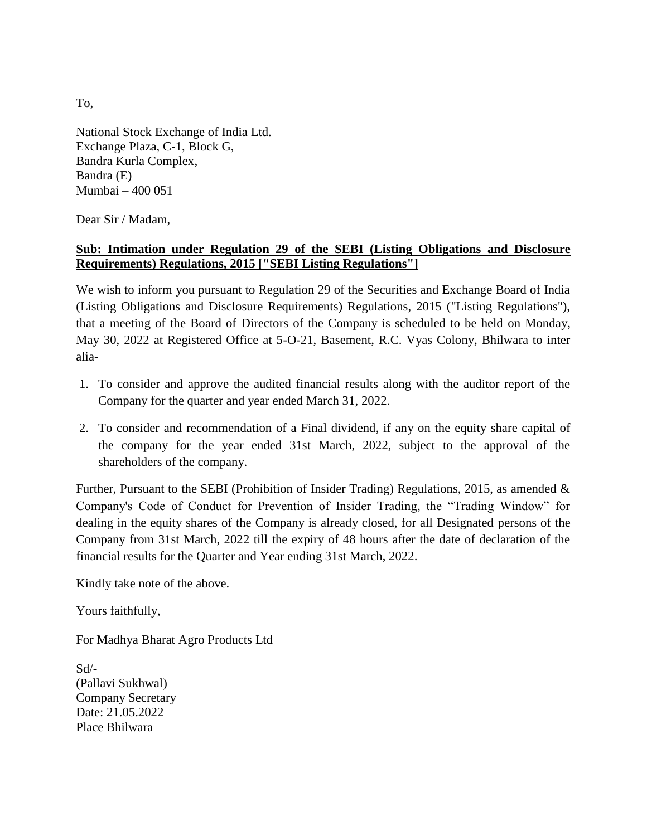To,

National Stock Exchange of India Ltd. Exchange Plaza, C-1, Block G, Bandra Kurla Complex, Bandra (E) Mumbai – 400 051

Dear Sir / Madam,

## **Sub: Intimation under Regulation 29 of the SEBI (Listing Obligations and Disclosure Requirements) Regulations, 2015 ["SEBI Listing Regulations"]**

We wish to inform you pursuant to Regulation 29 of the Securities and Exchange Board of India (Listing Obligations and Disclosure Requirements) Regulations, 2015 ("Listing Regulations"), that a meeting of the Board of Directors of the Company is scheduled to be held on Monday, May 30, 2022 at Registered Office at 5-O-21, Basement, R.C. Vyas Colony, Bhilwara to inter alia-

- 1. To consider and approve the audited financial results along with the auditor report of the Company for the quarter and year ended March 31, 2022.
- 2. To consider and recommendation of a Final dividend, if any on the equity share capital of the company for the year ended 31st March, 2022, subject to the approval of the shareholders of the company.

Further, Pursuant to the SEBI (Prohibition of Insider Trading) Regulations, 2015, as amended  $\&$ Company's Code of Conduct for Prevention of Insider Trading, the "Trading Window" for dealing in the equity shares of the Company is already closed, for all Designated persons of the Company from 31st March, 2022 till the expiry of 48 hours after the date of declaration of the financial results for the Quarter and Year ending 31st March, 2022.

Kindly take note of the above.

Yours faithfully,

For Madhya Bharat Agro Products Ltd

Sd/- (Pallavi Sukhwal) Company Secretary Date: 21.05.2022 Place Bhilwara